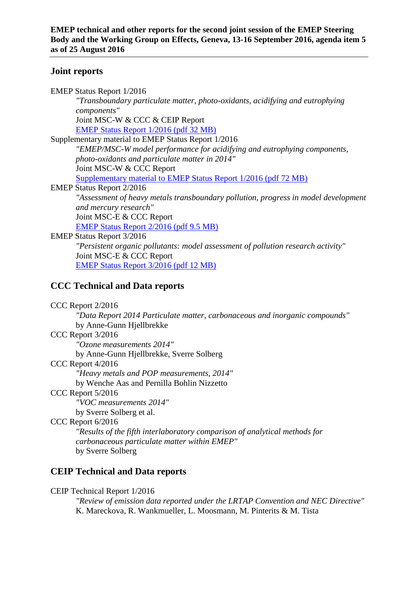### **Joint reports**

| <b>EMEP Status Report 1/2016</b>                                                   |
|------------------------------------------------------------------------------------|
| "Transboundary particulate matter, photo-oxidants, acidifying and eutrophying      |
| components"                                                                        |
| Joint MSC-W & CCC & CEIP Report                                                    |
| EMEP Status Report 1/2016 (pdf 32 MB)                                              |
| Supplementary material to EMEP Status Report 1/2016                                |
| "EMEP/MSC-W model performance for acidifying and eutrophying components,           |
| photo-oxidants and particulate matter in 2014"                                     |
| Joint MSC-W & CCC Report                                                           |
| <b>Supplementary material to EMEP Status Report 1/2016 (pdf 72 MB)</b>             |
| <b>EMEP Status Report 2/2016</b>                                                   |
| "Assessment of heavy metals transboundary pollution, progress in model development |
| and mercury research"                                                              |
| Joint MSC-E & CCC Report                                                           |
| <b>EMEP Status Report 2/2016 (pdf 9.5 MB)</b>                                      |
| <b>EMEP Status Report 3/2016</b>                                                   |
| "Persistent organic pollutants: model assessment of pollution research activity"   |
| Joint MSC-E & CCC Report                                                           |
| <b>EMEP Status Report 3/2016 (pdf 12 MB)</b>                                       |
|                                                                                    |

# **CCC Technical and Data reports**

CCC Report 2/2016

*"Data Report 2014 Particulate matter, carbonaceous and inorganic compounds"*  by Anne-Gunn Hjellbrekke

CCC Report 3/2016

*"Ozone measurements 2014"*

by Anne-Gunn Hjellbrekke, Sverre Solberg

CCC Report 4/2016

*"Heavy metals and POP measurements, 2014"* 

by Wenche Aas and Pernilla Bohlin Nizzetto

CCC Report 5/2016

*"VOC measurements 2014"* 

by Sverre Solberg et al.

CCC Report 6/2016

*"Results of the fifth interlaboratory comparison of analytical methods for carbonaceous particulate matter within EMEP"*  by Sverre Solberg

## **CEIP Technical and Data reports**

CEIP Technical Report 1/2016

*"Review of emission data reported under the LRTAP Convention and NEC Directive"* K. Mareckova, R. Wankmueller, L. Moosmann, M. Pinterits & M. Tista